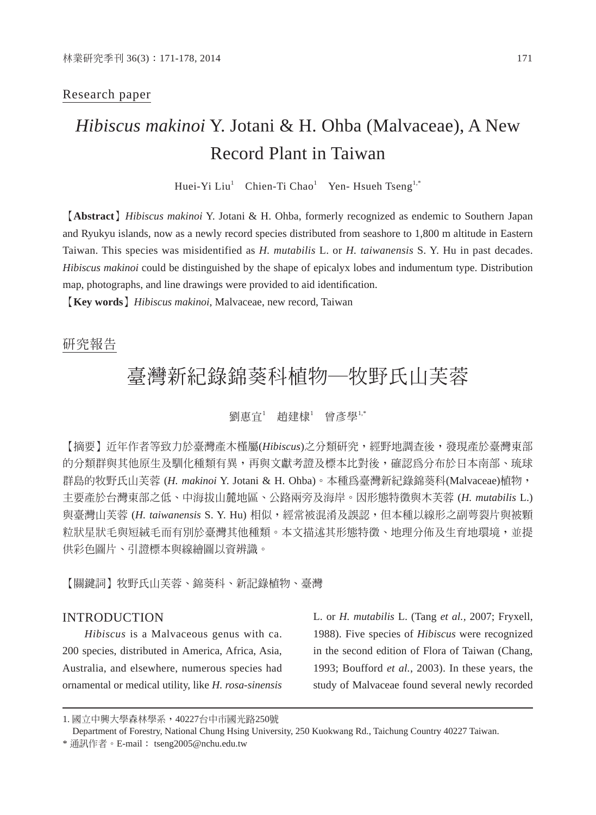# Research paper

# *Hibiscus makinoi* Y. Jotani & H. Ohba (Malvaceae), A New Record Plant in Taiwan

Huei-Yi Liu<sup>1</sup> Chien-Ti Chao<sup>1</sup> Yen- Hsueh Tseng<sup>1,\*</sup>

【**Abstract**】*Hibiscus makinoi* Y. Jotani & H. Ohba, formerly recognized as endemic to Southern Japan and Ryukyu islands, now as a newly record species distributed from seashore to 1,800 m altitude in Eastern Taiwan. This species was misidentified as *H. mutabilis* L. or *H. taiwanensis* S. Y. Hu in past decades. *Hibiscus makinoi* could be distinguished by the shape of epicalyx lobes and indumentum type. Distribution map, photographs, and line drawings were provided to aid identification.

【**Key words**】*Hibiscus makinoi*, Malvaceae, new record, Taiwan

# 研究報告

# 臺灣新紀錄錦葵科植物─牧野氏山芙蓉

## 劉惠宜'趙建棣'曾彥學!,\*

【摘要】近年作者等致力於臺灣產木槿屬(*Hibiscus*)之分類研究,經野地調查後,發現產於臺灣東部 的分類群與其他原生及馴化種類有異,再與文獻考證及標本比對後,確認為分布於日本南部、琉球 群島的牧野氏山芙蓉 (*H. makinoi* Y. Jotani & H. Ohba)。本種為臺灣新紀錄錦葵科(Malvaceae)植物, 主要產於台灣東部之低、中海拔山麓地區、公路兩旁及海岸。因形態特徵與木芙蓉 (*H. mutabilis* L.) 與臺灣山芙蓉 (*H. taiwanensis* S. Y. Hu) 相似,經常被混淆及誤認,但本種以線形之副萼裂片與被顆 粒狀星狀毛與短絨毛而有別於臺灣其他種類。本文描述其形熊特徵、地理分佈及生育地環境,並提 供彩色圖片、引證標本與線繪圖以資辨識。

【關鍵詞】牧野氏山芙蓉、錦葵科、新記錄植物、臺灣

# INTRODUCTION

*Hibiscus* is a Malvaceous genus with ca. 200 species, distributed in America, Africa, Asia, Australia, and elsewhere, numerous species had ornamental or medical utility, like *H. rosa-sinensis* L. or *H. mutabilis* L. (Tang *et al.,* 2007; Fryxell, 1988). Five species of *Hibiscus* were recognized in the second edition of Flora of Taiwan (Chang, 1993; Boufford *et al.*, 2003). In these years, the study of Malvaceae found several newly recorded

Department of Forestry, National Chung Hsing University, 250 Kuokwang Rd., Taichung Country 40227 Taiwan.

<sup>1.</sup> 國立中興大學森林學系,40227台中市國光路250號

<sup>\*</sup> 通訊作者。E-mail: tseng2005@nchu.edu.tw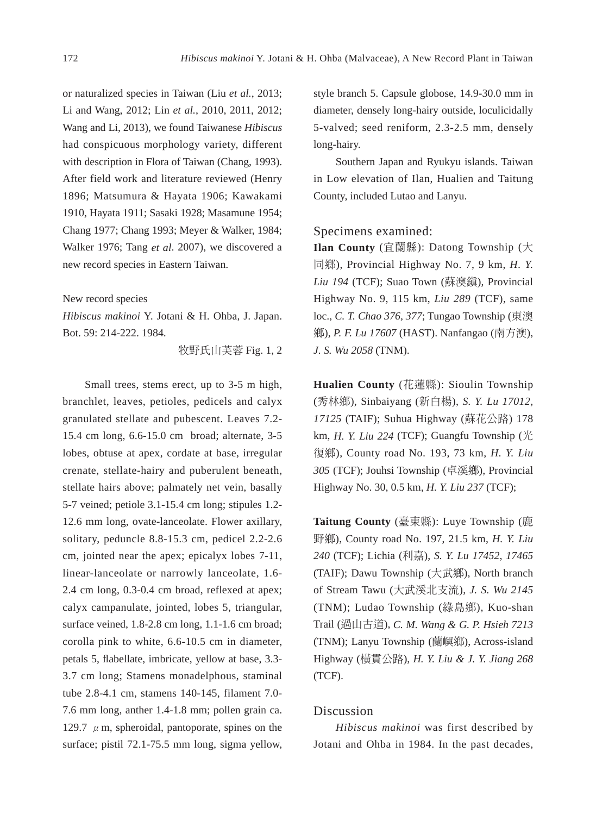or naturalized species in Taiwan (Liu *et al.*, 2013; Li and Wang, 2012; Lin *et al.*, 2010, 2011, 2012; Wang and Li, 2013), we found Taiwanese *Hibiscus*  had conspicuous morphology variety, different with description in Flora of Taiwan (Chang, 1993). After field work and literature reviewed (Henry 1896; Matsumura & Hayata 1906; Kawakami 1910, Hayata 1911; Sasaki 1928; Masamune 1954; Chang 1977; Chang 1993; Meyer & Walker, 1984; Walker 1976; Tang *et al*. 2007), we discovered a new record species in Eastern Taiwan.

#### New record species

*Hibiscus makinoi* Y. Jotani & H. Ohba, J. Japan. Bot. 59: 214-222. 1984.

牧野氏山芙蓉 Fig. 1, 2

Small trees, stems erect, up to 3-5 m high, branchlet, leaves, petioles, pedicels and calyx granulated stellate and pubescent. Leaves 7.2- 15.4 cm long, 6.6-15.0 cm broad; alternate, 3-5 lobes, obtuse at apex, cordate at base, irregular crenate, stellate-hairy and puberulent beneath, stellate hairs above; palmately net vein, basally 5-7 veined; petiole 3.1-15.4 cm long; stipules 1.2- 12.6 mm long, ovate-lanceolate. Flower axillary, solitary, peduncle 8.8-15.3 cm, pedicel 2.2-2.6 cm, jointed near the apex; epicalyx lobes 7-11, linear-lanceolate or narrowly lanceolate, 1.6- 2.4 cm long, 0.3-0.4 cm broad, reflexed at apex; calyx campanulate, jointed, lobes 5, triangular, surface veined, 1.8-2.8 cm long, 1.1-1.6 cm broad; corolla pink to white, 6.6-10.5 cm in diameter, petals 5, flabellate, imbricate, yellow at base, 3.3-3.7 cm long; Stamens monadelphous, staminal tube 2.8-4.1 cm, stamens 140-145, filament 7.0- 7.6 mm long, anther 1.4-1.8 mm; pollen grain ca. 129.7  $\mu$  m, spheroidal, pantoporate, spines on the surface; pistil 72.1-75.5 mm long, sigma yellow,

style branch 5. Capsule globose, 14.9-30.0 mm in diameter, densely long-hairy outside, loculicidally 5-valved; seed reniform, 2.3-2.5 mm, densely long-hairy.

Southern Japan and Ryukyu islands. Taiwan in Low elevation of Ilan, Hualien and Taitung County, included Lutao and Lanyu.

# Specimens examined:

**Ilan County** (宜蘭縣): Datong Township (大 同鄉), Provincial Highway No. 7, 9 km, *H. Y. Liu 194* (TCF); Suao Town (蘇澳鎮), Provincial Highway No. 9, 115 km, *Liu 289* (TCF), same loc., *C. T. Chao 376, 377*; Tungao Township (東澳 鄉), *P. F. Lu 17607* (HAST). Nanfangao (南方澳), *J. S. Wu 2058* (TNM).

**Hualien County** (花蓮縣): Sioulin Township (秀林鄉), Sinbaiyang (新白楊), *S. Y. Lu 17012, 17125* (TAIF); Suhua Highway (蘇花公路) 178 km, *H. Y. Liu 224* (TCF); Guangfu Township (光 復鄉), County road No. 193, 73 km, *H. Y. Liu 305* (TCF); Jouhsi Township (卓溪鄉), Provincial Highway No. 30, 0.5 km, *H. Y. Liu 237* (TCF);

**Taitung County** (臺東縣): Luye Township (鹿 野鄉), County road No. 197, 21.5 km, *H. Y. Liu 240* (TCF); Lichia (利嘉), *S. Y. Lu 17452, 17465* (TAIF); Dawu Township (大武鄉), North branch of Stream Tawu (大武溪北支流), *J. S. Wu 2145* (TNM); Ludao Township (綠島鄉), Kuo-shan Trail (過山古道), *C. M. Wang & G. P. Hsieh 7213* (TNM); Lanyu Township (蘭嶼鄉), Across-island Highway (橫貫公路), *H. Y. Liu & J. Y. Jiang 268*  (TCF).

# Discussion

*Hibiscus makinoi* was first described by Jotani and Ohba in 1984. In the past decades,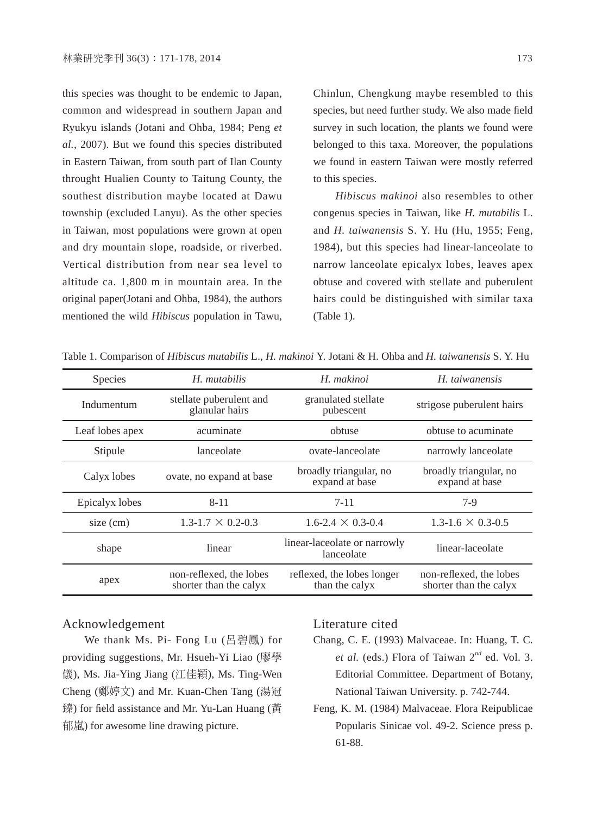this species was thought to be endemic to Japan, common and widespread in southern Japan and Ryukyu islands (Jotani and Ohba, 1984; Peng *et al.*, 2007). But we found this species distributed in Eastern Taiwan, from south part of Ilan County throught Hualien County to Taitung County, the southest distribution maybe located at Dawu township (excluded Lanyu). As the other species in Taiwan, most populations were grown at open and dry mountain slope, roadside, or riverbed. Vertical distribution from near sea level to altitude ca. 1,800 m in mountain area. In the original paper(Jotani and Ohba, 1984), the authors mentioned the wild *Hibiscus* population in Tawu, Chinlun, Chengkung maybe resembled to this species, but need further study. We also made field survey in such location, the plants we found were belonged to this taxa. Moreover, the populations we found in eastern Taiwan were mostly referred to this species.

*Hibiscus makinoi* also resembles to other congenus species in Taiwan, like *H. mutabilis* L. and *H. taiwanensis* S. Y. Hu (Hu, 1955; Feng, 1984), but this species had linear-lanceolate to narrow lanceolate epicalyx lobes, leaves apex obtuse and covered with stellate and puberulent hairs could be distinguished with similar taxa (Table 1).

Table 1. Comparison of *Hibiscus mutabilis* L., *H. makinoi* Y. Jotani & H. Ohba and *H. taiwanensis* S. Y. Hu

| <b>Species</b>  | H. mutabilis                                      | H. makinoi                                   | H. taiwanensis                                    |
|-----------------|---------------------------------------------------|----------------------------------------------|---------------------------------------------------|
| Indumentum      | stellate puberulent and<br>glanular hairs         | granulated stellate<br>pubescent             | strigose puberulent hairs                         |
| Leaf lobes apex | acuminate                                         | obtuse                                       | obtuse to acuminate                               |
| Stipule         | lanceolate                                        | ovate-lanceolate                             | narrowly lanceolate                               |
| Calyx lobes     | ovate, no expand at base                          | broadly triangular, no<br>expand at base     | broadly triangular, no<br>expand at base          |
| Epicalyx lobes  | $8 - 11$                                          | $7 - 11$                                     | $7-9$                                             |
| size $(cm)$     | $1.3 - 1.7 \times 0.2 - 0.3$                      | $1.6 - 2.4 \times 0.3 - 0.4$                 | $1.3 - 1.6 \times 0.3 - 0.5$                      |
| shape           | linear                                            | linear-laceolate or narrowly<br>lanceolate   | linear-laceolate                                  |
| apex            | non-reflexed, the lobes<br>shorter than the calyx | reflexed, the lobes longer<br>than the calyx | non-reflexed, the lobes<br>shorter than the calyx |

## Acknowledgement

We thank Ms. Pi- Fong Lu (呂碧鳳) for providing suggestions, Mr. Hsueh-Yi Liao (廖學 儀), Ms. Jia-Ying Jiang (江佳穎), Ms. Ting-Wen Cheng (鄭婷文) and Mr. Kuan-Chen Tang (湯冠 臻) for field assistance and Mr. Yu-Lan Huang (黃 郁嵐) for awesome line drawing picture.

## Literature cited

- Chang, C. E. (1993) Malvaceae. In: Huang, T. C. *et al.* (eds.) Flora of Taiwan 2*nd* ed. Vol. 3. Editorial Committee. Department of Botany, National Taiwan University. p. 742-744.
- Feng, K. M. (1984) Malvaceae. Flora Reipublicae Popularis Sinicae vol. 49-2. Science press p. 61-88.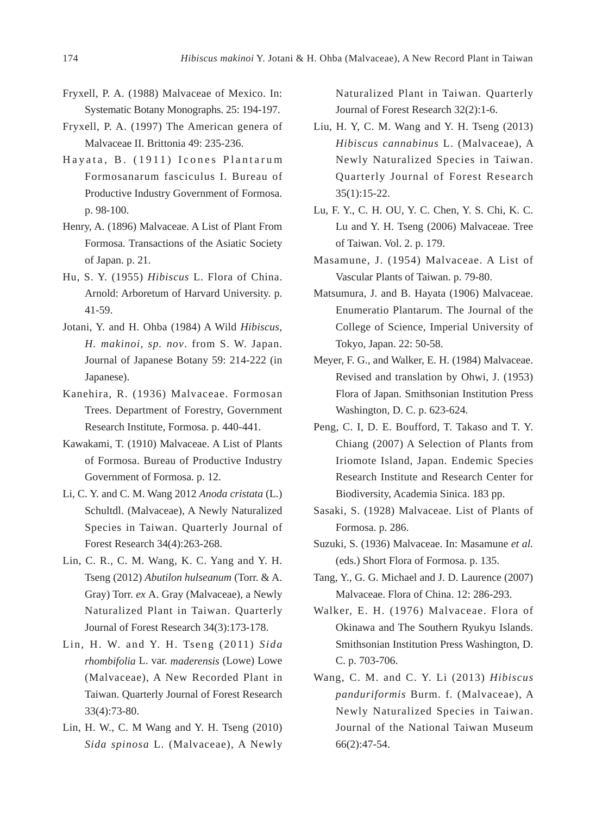- Fryxell, P. A. (1988) Malvaceae of Mexico. In: Systematic Botany Monographs. 25: 194-197.
- Fryxell, P. A. (1997) The American genera of Malvaceae II. Brittonia 49: 235-236.
- Hayata, B. (1911) Icones Plantarum Formosanarum fasciculus I. Bureau of Productive Industry Government of Formosa. p. 98-100.
- Henry, A. (1896) Malvaceae. A List of Plant From Formosa. Transactions of the Asiatic Society of Japan. p. 21.
- Hu, S. Y. (1955) *Hibiscus* L. Flora of China. Arnold: Arboretum of Harvard University. p. 41-59.
- Jotani, Y. and H. Ohba (1984) A Wild *Hibiscus, H. makinoi, sp. nov*. from S. W. Japan. Journal of Japanese Botany 59: 214-222 (in Japanese).
- Kanehira, R. (1936) Malvaceae. Formosan Trees. Department of Forestry, Government Research Institute, Formosa. p. 440-441.
- Kawakami, T. (1910) Malvaceae. A List of Plants of Formosa. Bureau of Productive Industry Government of Formosa. p. 12.
- Li, C. Y. and C. M. Wang 2012 *Anoda cristata* (L.) Schultdl. (Malvaceae), A Newly Naturalized Species in Taiwan. Quarterly Journal of Forest Research 34(4):263-268.
- Lin, C. R., C. M. Wang, K. C. Yang and Y. H. Tseng (2012) *Abutilon hulseanum* (Torr. & A. Gray) Torr. *ex* A. Gray (Malvaceae), a Newly Naturalized Plant in Taiwan. Quarterly Journal of Forest Research 34(3):173-178.
- Lin, H. W. and Y. H. Tseng (2011) *Sida rhombifolia* L. var. *maderensis* (Lowe) Lowe (Malvaceae), A New Recorded Plant in Taiwan. Quarterly Journal of Forest Research 33(4):73-80.
- Lin, H. W., C. M Wang and Y. H. Tseng (2010) *Sida spinosa* L. (Malvaceae), A Newly

Naturalized Plant in Taiwan. Quarterly Journal of Forest Research 32(2):1-6.

- Liu, H. Y, C. M. Wang and Y. H. Tseng (2013) *Hibiscus cannabinus* L. (Malvaceae), A Newly Naturalized Species in Taiwan. Quarterly Journal of Forest Research 35(1):15-22.
- Lu, F. Y., C. H. OU, Y. C. Chen, Y. S. Chi, K. C. Lu and Y. H. Tseng (2006) Malvaceae. Tree of Taiwan. Vol. 2. p. 179.
- Masamune, J. (1954) Malvaceae. A List of Vascular Plants of Taiwan. p. 79-80.
- Matsumura, J. and B. Hayata (1906) Malvaceae. Enumeratio Plantarum. The Journal of the College of Science, Imperial University of Tokyo, Japan. 22: 50-58.
- Meyer, F. G., and Walker, E. H. (1984) Malvaceae. Revised and translation by Ohwi, J. (1953) Flora of Japan. Smithsonian Institution Press Washington, D. C. p. 623-624.
- Peng, C. I, D. E. Boufford, T. Takaso and T. Y. Chiang (2007) A Selection of Plants from Iriomote Island, Japan. Endemic Species Research Institute and Research Center for Biodiversity, Academia Sinica. 183 pp.
- Sasaki, S. (1928) Malvaceae. List of Plants of Formosa. p. 286.
- Suzuki, S. (1936) Malvaceae. In: Masamune *et al.* (eds.) Short Flora of Formosa. p. 135.
- Tang, Y., G. G. Michael and J. D. Laurence (2007) Malvaceae. Flora of China. 12: 286-293.
- Walker, E. H. (1976) Malvaceae. Flora of Okinawa and The Southern Ryukyu Islands. Smithsonian Institution Press Washington, D. C. p. 703-706.
- Wang, C. M. and C. Y. Li (2013) *Hibiscus panduriformis* Burm. f. (Malvaceae), A Newly Naturalized Species in Taiwan. Journal of the National Taiwan Museum 66(2):47-54.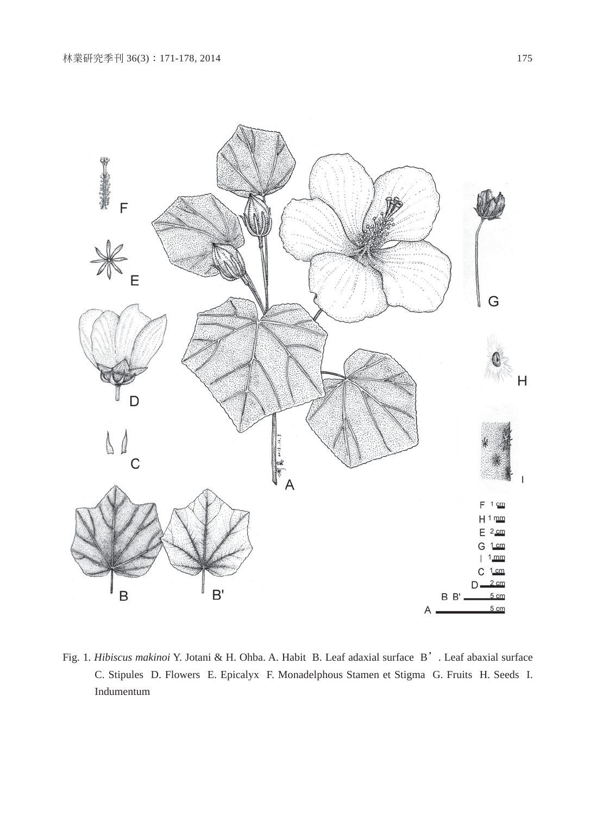

Fig. 1. *Hibiscus makinoi* Y. Jotani & H. Ohba. A. Habit B. Leaf adaxial surface B'. Leaf abaxial surface C. Stipules D. Flowers E. Epicalyx F. Monadelphous Stamen et Stigma G. Fruits H. Seeds I. Indumentum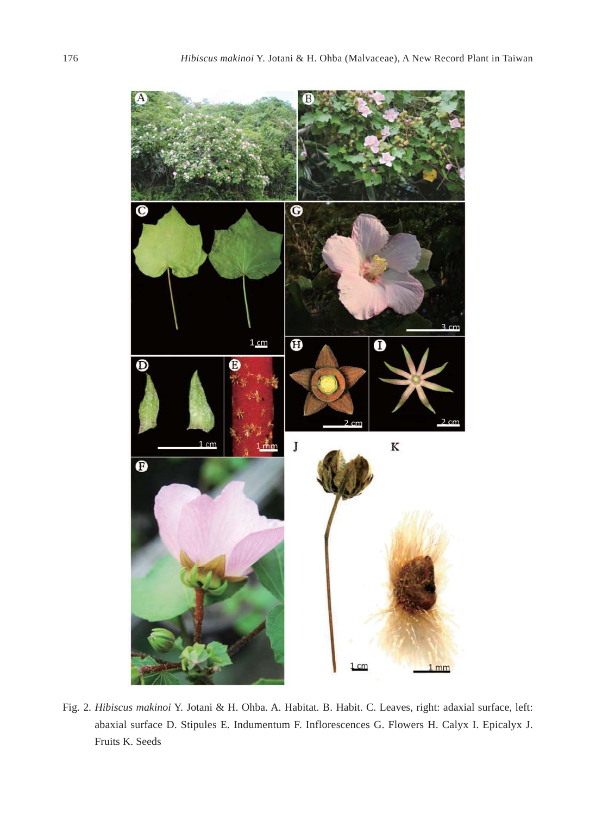

Fig. 2. *Hibiscus makinoi* Y. Jotani & H. Ohba. A. Habitat. B. Habit. C. Leaves, right: adaxial surface, left: abaxial surface D. Stipules E. Indumentum F. Inflorescences G. Flowers H. Calyx I. Epicalyx J. Fruits K. Seeds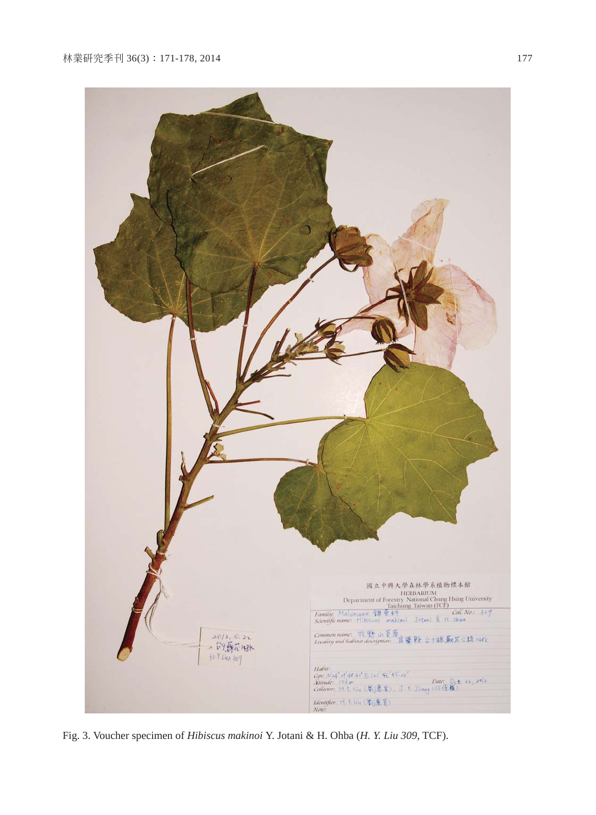

Fig. 3. Voucher specimen of *Hibiscus makinoi* Y. Jotani & H. Ohba (*H. Y. Liu 309*, TCF).